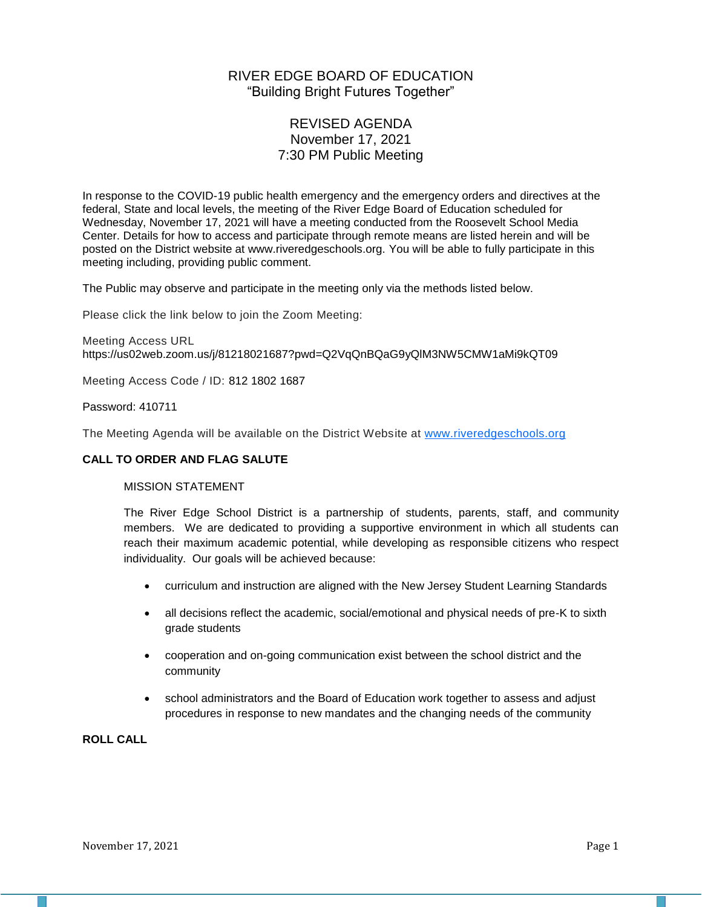# RIVER EDGE BOARD OF EDUCATION "Building Bright Futures Together"

# REVISED AGENDA November 17, 2021 7:30 PM Public Meeting

In response to the COVID-19 public health emergency and the emergency orders and directives at the federal, State and local levels, the meeting of the River Edge Board of Education scheduled for Wednesday, November 17, 2021 will have a meeting conducted from the Roosevelt School Media Center. Details for how to access and participate through remote means are listed herein and will be posted on the District website at www.riveredgeschools.org. You will be able to fully participate in this meeting including, providing public comment.

The Public may observe and participate in the meeting only via the methods listed below.

Please click the link below to join the Zoom Meeting:

Meeting Access URL https://us02web.zoom.us/j/81218021687?pwd=Q2VqQnBQaG9yQlM3NW5CMW1aMi9kQT09

Meeting Access Code / ID: 812 1802 1687

Password: 410711

The Meeting Agenda will be available on the District Website at www[.riveredgeschools.org](http://riveredgeschools.org/)

## **CALL TO ORDER AND FLAG SALUTE**

# MISSION STATEMENT

The River Edge School District is a partnership of students, parents, staff, and community members. We are dedicated to providing a supportive environment in which all students can reach their maximum academic potential, while developing as responsible citizens who respect individuality. Our goals will be achieved because:

- curriculum and instruction are aligned with the New Jersey Student Learning Standards
- all decisions reflect the academic, social/emotional and physical needs of pre-K to sixth grade students
- cooperation and on-going communication exist between the school district and the community
- school administrators and the Board of Education work together to assess and adjust procedures in response to new mandates and the changing needs of the community

**ROLL CALL**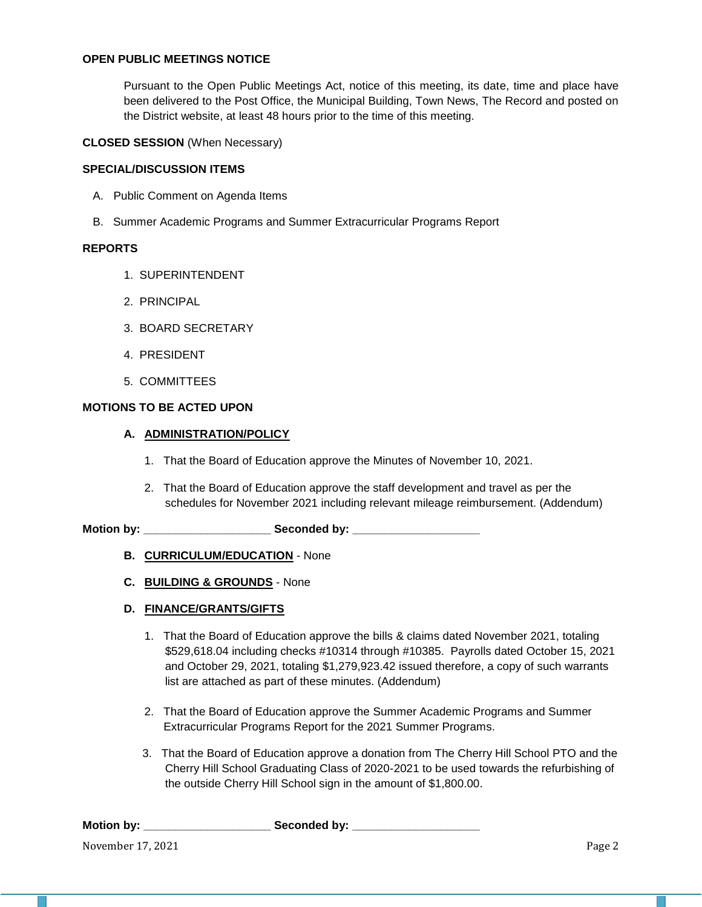## **OPEN PUBLIC MEETINGS NOTICE**

Pursuant to the Open Public Meetings Act, notice of this meeting, its date, time and place have been delivered to the Post Office, the Municipal Building, Town News, The Record and posted on the District website, at least 48 hours prior to the time of this meeting.

#### **CLOSED SESSION** (When Necessary)

#### **SPECIAL/DISCUSSION ITEMS**

- A. Public Comment on Agenda Items
- B. Summer Academic Programs and Summer Extracurricular Programs Report

#### **REPORTS**

- 1. SUPERINTENDENT
- 2. PRINCIPAL
- 3. BOARD SECRETARY
- 4. PRESIDENT
- 5. COMMITTEES

## **MOTIONS TO BE ACTED UPON**

## **A. ADMINISTRATION/POLICY**

- 1. That the Board of Education approve the Minutes of November 10, 2021.
- 2. That the Board of Education approve the staff development and travel as per the schedules for November 2021 including relevant mileage reimbursement. (Addendum)

**Motion by: \_\_\_\_\_\_\_\_\_\_\_\_\_\_\_\_\_\_\_\_ Seconded by: \_\_\_\_\_\_\_\_\_\_\_\_\_\_\_\_\_\_\_\_**

- **B. CURRICULUM/EDUCATION** None
- **C. BUILDING & GROUNDS** None

## **D. FINANCE/GRANTS/GIFTS**

- 1. That the Board of Education approve the bills & claims dated November 2021, totaling \$529,618.04 including checks #10314 through #10385. Payrolls dated October 15, 2021 and October 29, 2021, totaling \$1,279,923.42 issued therefore, a copy of such warrants list are attached as part of these minutes. (Addendum)
- 2. That the Board of Education approve the Summer Academic Programs and Summer Extracurricular Programs Report for the 2021 Summer Programs.
- 3. That the Board of Education approve a donation from The Cherry Hill School PTO and the Cherry Hill School Graduating Class of 2020-2021 to be used towards the refurbishing of the outside Cherry Hill School sign in the amount of \$1,800.00.

| <b>Motion by:</b> | Seconded by: |
|-------------------|--------------|
|                   |              |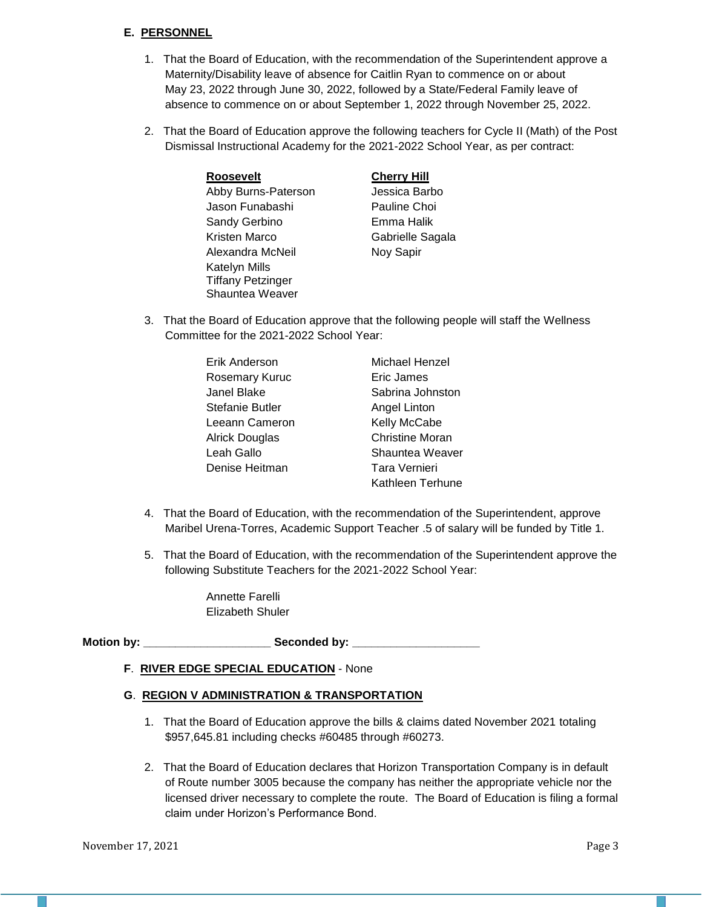# **E. PERSONNEL**

- 1. That the Board of Education, with the recommendation of the Superintendent approve a Maternity/Disability leave of absence for Caitlin Ryan to commence on or about May 23, 2022 through June 30, 2022, followed by a State/Federal Family leave of absence to commence on or about September 1, 2022 through November 25, 2022.
- 2. That the Board of Education approve the following teachers for Cycle II (Math) of the Post Dismissal Instructional Academy for the 2021-2022 School Year, as per contract:

| <b>Roosevelt</b>         |   |
|--------------------------|---|
| Abby Burns-Paterson      |   |
| Jason Funabashi          | F |
| Sandy Gerbino            | F |
| Kristen Marco            | ( |
| Alexandra McNeil         | N |
| <b>Katelyn Mills</b>     |   |
| <b>Tiffany Petzinger</b> |   |
| Shauntea Weaver          |   |

# **Cherry Hill**

Jessica Barbo Pauline Choi Emma Halik Gabrielle Sagala **Noy Sapir** 

3. That the Board of Education approve that the following people will staff the Wellness Committee for the 2021-2022 School Year:

| Erik Anderson   | Michael Henzel         |
|-----------------|------------------------|
| Rosemary Kuruc  | Eric James             |
| Janel Blake     | Sabrina Johnston       |
| Stefanie Butler | Angel Linton           |
| Leeann Cameron  | Kelly McCabe           |
| Alrick Douglas  | <b>Christine Moran</b> |
| Leah Gallo      | Shauntea Weaver        |
| Denise Heitman  | Tara Vernieri          |
|                 | Kathleen Terhune       |

- 4. That the Board of Education, with the recommendation of the Superintendent, approve Maribel Urena-Torres, Academic Support Teacher .5 of salary will be funded by Title 1.
- 5. That the Board of Education, with the recommendation of the Superintendent approve the following Substitute Teachers for the 2021-2022 School Year:

Annette Farelli Elizabeth Shuler

**Motion by: \_\_\_\_\_\_\_\_\_\_\_\_\_\_\_\_\_\_\_\_ Seconded by: \_\_\_\_\_\_\_\_\_\_\_\_\_\_\_\_\_\_\_\_**

## **F**. **RIVER EDGE SPECIAL EDUCATION** - None

## **G**. **REGION V ADMINISTRATION & TRANSPORTATION**

- 1. That the Board of Education approve the bills & claims dated November 2021 totaling \$957,645.81 including checks #60485 through #60273.
- 2. That the Board of Education declares that Horizon Transportation Company is in default of Route number 3005 because the company has neither the appropriate vehicle nor the licensed driver necessary to complete the route. The Board of Education is filing a formal claim under Horizon's Performance Bond.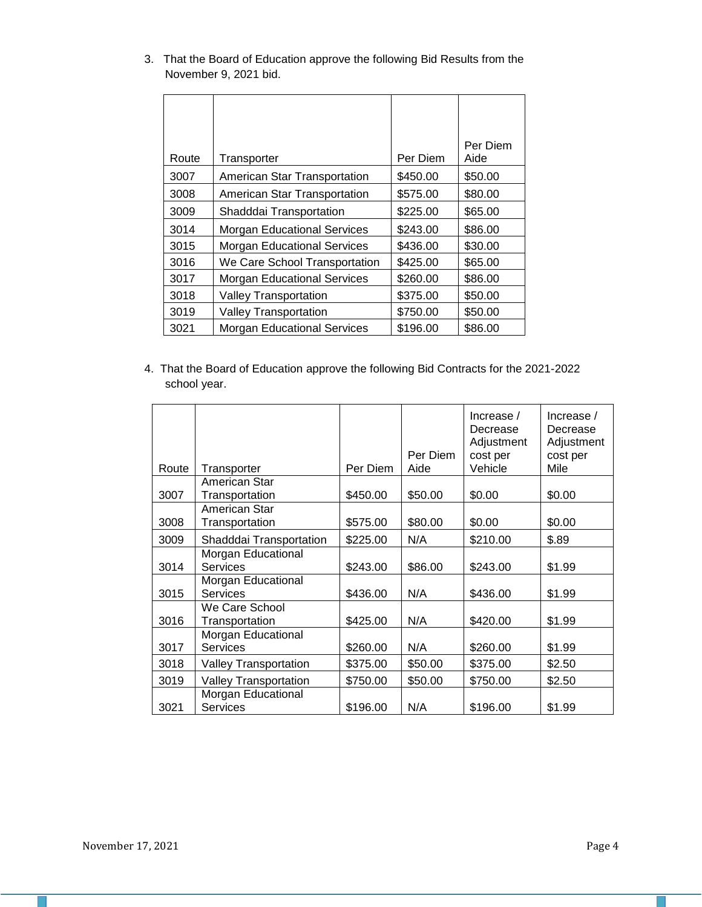| Route | Transporter                        | Per Diem | Per Diem<br>Aide |
|-------|------------------------------------|----------|------------------|
| 3007  | American Star Transportation       | \$450.00 | \$50.00          |
| 3008  | American Star Transportation       | \$575.00 | \$80.00          |
| 3009  | Shadddai Transportation            | \$225.00 | \$65.00          |
| 3014  | <b>Morgan Educational Services</b> | \$243.00 | \$86.00          |
| 3015  | <b>Morgan Educational Services</b> | \$436.00 | \$30.00          |
| 3016  | We Care School Transportation      | \$425.00 | \$65.00          |
| 3017  | <b>Morgan Educational Services</b> | \$260.00 | \$86.00          |
| 3018  | <b>Valley Transportation</b>       | \$375.00 | \$50.00          |
| 3019  | <b>Valley Transportation</b>       | \$750.00 | \$50.00          |
| 3021  | <b>Morgan Educational Services</b> | \$196.00 | \$86.00          |

3. That the Board of Education approve the following Bid Results from the November 9, 2021 bid.

4. That the Board of Education approve the following Bid Contracts for the 2021-2022 school year.

| Route | Transporter                           | Per Diem | Per Diem<br>Aide | Increase $/$<br>Decrease<br>Adjustment<br>cost per<br>Vehicle | Increase $/$<br>Decrease<br>Adjustment<br>cost per<br>Mile |
|-------|---------------------------------------|----------|------------------|---------------------------------------------------------------|------------------------------------------------------------|
|       | American Star                         |          |                  |                                                               |                                                            |
| 3007  | Transportation                        | \$450.00 | \$50.00          | \$0.00                                                        | \$0.00                                                     |
| 3008  | American Star<br>Transportation       | \$575.00 | \$80.00          | \$0.00                                                        | \$0.00                                                     |
| 3009  | Shadddai Transportation               | \$225.00 | N/A              | \$210.00                                                      | \$.89                                                      |
| 3014  | Morgan Educational<br>Services        | \$243.00 | \$86.00          | \$243.00                                                      | \$1.99                                                     |
| 3015  | Morgan Educational<br><b>Services</b> | \$436.00 | N/A              | \$436.00                                                      | \$1.99                                                     |
| 3016  | We Care School<br>Transportation      | \$425.00 | N/A              | \$420.00                                                      | \$1.99                                                     |
| 3017  | Morgan Educational<br>Services        | \$260.00 | N/A              | \$260.00                                                      | \$1.99                                                     |
| 3018  | Valley Transportation                 | \$375.00 | \$50.00          | \$375.00                                                      | \$2.50                                                     |
| 3019  | <b>Valley Transportation</b>          | \$750.00 | \$50.00          | \$750.00                                                      | \$2.50                                                     |
| 3021  | Morgan Educational<br><b>Services</b> | \$196.00 | N/A              | \$196.00                                                      | \$1.99                                                     |